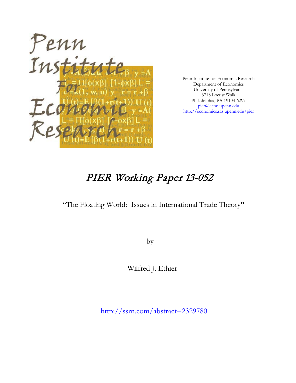

Penn Institute for Economic Research Department of Economics University of Pennsylvania 3718 Locust Walk Philadelphia, PA 19104-6297 [pier@econ.upenn.edu](mailto:pier@econ.upenn.edu) <http://economics.sas.upenn.edu/pier>

# PIER Working Paper 13-052

## "The Floating World: Issues in International Trade Theory**"**

by

Wilfred J. Ethier

[http://ssrn.com/abstract=2](http://ssrn.com/abstract_id=)329780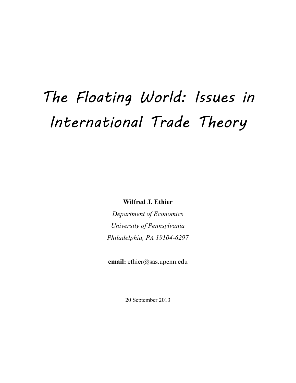# *The Floating World: Issues in International Trade Theory*

**Wilfred J. Ethier**

*Department of Economics University of Pennsylvania Philadelphia, PA 19104-6297*

**email:** ethier@sas.upenn.edu

20 September 2013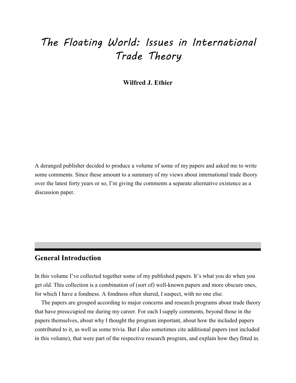# *The Floating World: Issues in International Trade Theory*

**Wilfred J. Ethier**

A deranged publisher decided to produce a volume of some of my papers and asked me to write some comments. Since these amount to a summary of my views about international trade theory over the latest forty years or so, I'm giving the comments a separate alternative existence as a discussion paper.

## **General Introduction**

In this volume I've collected together some of my published papers. It's what you do when you get old. This collection is a combination of (sort of) well-known papers and more obscure ones, for which I have a fondness. A fondness often shared, I suspect, with no one else.

The papers are grouped according to major concerns and research programs about trade theory that have preoccupied me during my career. For each Isupply comments, beyond those in the papers themselves, about why I thought the program important, about how the included papers contributed to it, as well as some trivia. But I also sometimes cite additional papers (not included in this volume), that were part of the respective research program, and explain how they fitted in.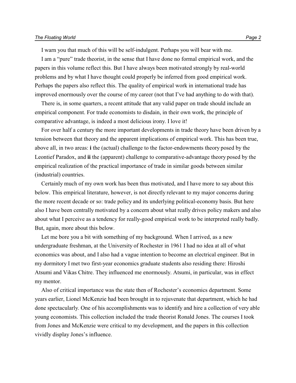I warn you that much of this will be self-indulgent. Perhaps you will bear with me.

I am a "pure" trade theorist, in the sense that I have done no formal empirical work, and the papers in this volume reflect this. But I have always been motivated strongly by real-world problems and by what I have thought could properly be inferred from good empirical work. Perhaps the papers also reflect this. The quality of empirical work in international trade has improved enormously over the course of my career (not that I've had anything to do with that).

There is, in some quarters, a recent attitude that any valid paper on trade should include an empirical component. For trade economists to disdain, in their own work, the principle of comparative advantage, is indeed a most delicious irony. I love it!

For over half a century the more important developments in trade theory have been driven by a tension between that theory and the apparent implications of empirical work. This has been true, above all, in two areas: **i** the (actual) challenge to the factor-endowments theory posed by the Leontief Paradox, and **ii** the (apparent) challenge to comparative-advantage theory posed by the empirical realization of the practical importance of trade in similar goods between similar (industrial) countries.

Certainly much of my own work has been thus motivated, and I have more to say about this below. This empirical literature, however, is not directly relevant to my major concerns during the more recent decade or so: trade policy and its underlying political-economy basis. But here also I have been centrally motivated by a concern about what really drives policy makers and also about what I perceive as a tendency for really-good empirical work to be interpreted really badly. But, again, more about this below.

Let me bore you a bit with something of my background. When I arrived, as a new undergraduate freshman, at the University of Rochester in 1961 I had no idea at all of what economics was about, and I also had a vague intention to become an electrical engineer. But in my dormitory I met two first-year economics graduate students also residing there: Hiroshi Atsumi and Vikas Chitre. They influenced me enormously. Atsumi, in particular, was in effect my mentor.

Also of critical importance was the state then of Rochester's economics department. Some years earlier, Lionel McKenzie had been brought in to rejuvenate that department, which he had done spectacularly. One of his accomplishments was to identify and hire a collection of very able young economists. This collection included the trade theorist Ronald Jones. The courses I took from Jones and McKenzie were critical to my development, and the papers in this collection vividly display Jones's influence.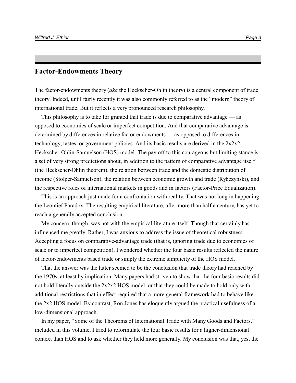## **Factor-Endowments Theory**

The factor-endowments theory (*aka* the Heckscher-Ohlin theory) is a central component of trade theory. Indeed, until fairly recently it was also commonly referred to as the "modern" theory of international trade. But it reflects a very pronounced research philosophy.

This philosophy is to take for granted that trade is due to comparative advantage — as opposed to economies of scale or imperfect competition. And that comparative advantage is determined by differences in relative factor endowments — as opposed to differences in technology, tastes, or government policies. And its basic results are derived in the 2x2x2 Heckscher-Ohlin-Samuelson (HOS) model. The pay-off to this courageous but limiting stance is a set of very strong predictions about, in addition to the pattern of comparative advantage itself (the Heckscher-Ohlin theorem), the relation between trade and the domestic distribution of income (Stolper-Samuelson), the relation between economic growth and trade (Rybczynski), and the respective roles of international markets in goods and in factors (Factor-Price Equalization).

This is an approach just made for a confrontation with reality. That was not long in happening: the Leontief Paradox. The resulting empirical literature, after more than half a century, has yet to reach a generally accepted conclusion.

My concern, though, was not with the empirical literature itself. Though that certainly has influenced me greatly. Rather, I was anxious to address the issue of theoretical robustness. Accepting a focus on comparative-advantage trade (that is, ignoring trade due to economies of scale or to imperfect competition), I wondered whether the four basic results reflected the nature of factor-endowments based trade or simply the extreme simplicity of the HOS model.

That the answer was the latter seemed to be the conclusion that trade theory had reached by the 1970s, at least by implication. Many papers had striven to show that the four basic results did not hold literally outside the 2x2x2 HOS model, or that they could be made to hold only with additional restrictions that in effect required that a more general framework had to behave like the 2x2 HOS model. By contrast, Ron Jones has eloquently argued the practical usefulness of a low-dimensional approach.

In my paper, "Some of the Theorems of International Trade with Many Goods and Factors," included in this volume, I tried to reformulate the four basic results for a higher-dimensional context than HOS and to ask whether they held more generally. My conclusion was that, yes, the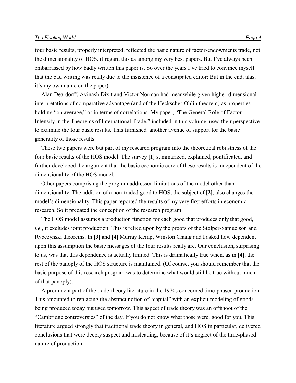four basic results, properly interpreted, reflected the basic nature of factor-endowments trade, not the dimensionality of HOS. (I regard this as among my very best papers. But I've always been embarrassed by how badly written this paper is. So over the years I've tried to convince myself that the bad writing was really due to the insistence of a constipated editor: But in the end, alas, it's my own name on the paper).

Alan Deardorff, Avinash Dixit and Victor Norman had meanwhile given higher-dimensional interpretations of comparative advantage (and of the Heckscher-Ohlin theorem) as properties holding "on average," or in terms of correlations. My paper, "The General Role of Factor Intensity in the Theorems of International Trade," included in this volume, used their perspective to examine the four basic results. This furnished another avenue of support for the basic generality of those results.

These two papers were but part of my research program into the theoretical robustness of the four basic results of the HOS model. The survey **[1]** summarized, explained, pontificated, and further developed the argument that the basic economic core of these results is independent of the dimensionality of the HOS model.

Other papers comprising the program addressed limitations of the model other than dimensionality. The addition of a non-traded good to HOS, the subject of **[2]**, also changes the model's dimensionality. This paper reported the results of my very first efforts in economic research. So it predated the conception of the research program.

The HOS model assumes a production function for each good that produces only that good, *i.e.*, it excludes joint production. This is relied upon by the proofs of the Stolper-Samuelson and Rybczynski theorems. In **[3]** and **[4]** Murray Kemp, Winston Chang and I asked how dependent upon this assumption the basic messages of the four results really are. Our conclusion, surprising to us, was that this dependence is actually limited. This is dramatically true when, as in **[4]**, the rest of the panoply of the HOS structure is maintained. (Of course, you should remember that the basic purpose of this research program was to determine what would still be true without much of that panoply).

A prominent part of the trade-theory literature in the 1970s concerned time-phased production. This amounted to replacing the abstract notion of "capital" with an explicit modeling of goods being produced today but used tomorrow. This aspect of trade theory was an offshoot of the "Cambridge controversies" of the day. If you do not know what those were, good for you. This literature argued strongly that traditional trade theory in general, and HOS in particular, delivered conclusions that were deeply suspect and misleading, because of it's neglect of the time-phased nature of production.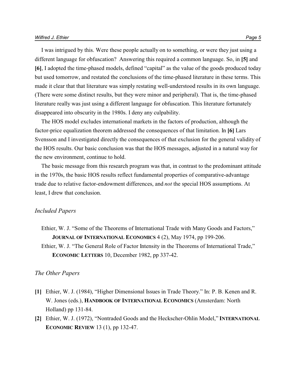I was intrigued by this. Were these people actually on to something, or were they just using a different language for obfuscation? Answering this required a common language. So, in **[5]** and **[6]**, I adopted the time-phased models, defined "capital" as the value of the goods produced today but used tomorrow, and restated the conclusions of the time-phased literature in these terms. This made it clear that that literature was simply restating well-understood results in its own language. (There were some distinct results, but they were minor and peripheral). That is, the time-phased literature really was just using a different language for obfuscation. This literature fortunately disappeared into obscurity in the 1980s. I deny any culpability.

The HOS model excludes international markets in the factors of production, although the factor-price equalization theorem addressed the consequences of that limitation. In **[6]** Lars Svensson and I investigated directly the consequences of that exclusion for the general validity of the HOS results. Our basic conclusion was that the HOS messages, adjusted in a natural way for the new environment, continue to hold.

The basic message from this research program was that, in contrast to the predominant attitude in the 1970s, the basic HOS results reflect fundamental properties of comparative-advantage trade due to relative factor-endowment differences, and *not* the special HOS assumptions. At least, I drew that conclusion.

#### *Included Papers*

- Ethier, W. J. "Some of the Theorems of International Trade with Many Goods and Factors," **JOURNAL OF INTERNATIONAL ECONOMICS** 4 (2), May 1974, pp 199-206.
- Ethier, W. J. "The General Role of Factor Intensity in the Theorems of International Trade," **ECONOMIC LETTERS** 10, December 1982, pp 337-42.

### *The Other Papers*

- **[1]** Ethier, W. J. (1984), "Higher Dimensional Issues in Trade Theory." In: P. B. Kenen and R. W. Jones (eds.), **HANDBOOK OF INTERNATIONAL ECONOMICS** (Amsterdam: North Holland) pp 131-84.
- **[2]** Ethier, W. J. (1972), "Nontraded Goods and the Heckscher-Ohlin Model," **INTERNATIONAL ECONOMIC REVIEW** 13 (1), pp 132-47.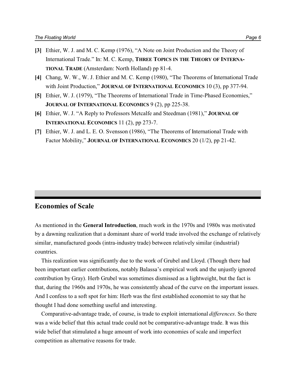- **[3]** Ethier, W. J. and M. C. Kemp (1976), "A Note on Joint Production and the Theory of International Trade." In: M. C. Kemp, **THREE TOPICS IN THE THEORY OF INTERNA-TIONAL TRADE** (Amsterdam: North Holland) pp 81-4.
- **[4]** Chang, W. W., W. J. Ethier and M. C. Kemp (1980), "The Theorems of International Trade with Joint Production," **JOURNAL OF INTERNATIONAL ECONOMICS** 10 (3), pp 377-94.
- **[5]** Ethier, W. J. (1979), "The Theorems of International Trade in Time-Phased Economies," **JOURNAL OF INTERNATIONAL ECONOMICS** 9 (2), pp 225-38.
- **[6]** Ethier, W. J. "A Reply to Professors Metcalfe and Steedman (1981)," **JOURNAL OF INTERNATIONAL ECONOMICS** 11 (2), pp 273-7.
- **[7]** Ethier, W. J. and L. E. O. Svensson (1986), "The Theorems of International Trade with Factor Mobility," **JOURNAL OF INTERNATIONAL ECONOMICS** 20 (1/2), pp 21-42.

## **Economies of Scale**

As mentioned in the **General Introduction**, much work in the 1970s and 1980s was motivated by a dawning realization that a dominant share of world trade involved the exchange of relatively similar, manufactured goods (intra-industry trade) between relatively similar (industrial) countries.

This realization was significantly due to the work of Grubel and Lloyd. (Though there had been important earlier contributions, notably Balassa's empirical work and the unjustly ignored contribution by Gray). Herb Grubel was sometimes dismissed as a lightweight, but the fact is that, during the 1960s and 1970s, he was consistently ahead of the curve on the important issues. And I confess to a soft spot for him: Herb was the first established economist to say that he thought I had done something useful and interesting.

Comparative-advantage trade, of course, is trade to exploit international *differences*. So there was a wide belief that this actual trade could not be comparative-advantage trade. It was this wide belief that stimulated a huge amount of work into economies of scale and imperfect competition as alternative reasons for trade.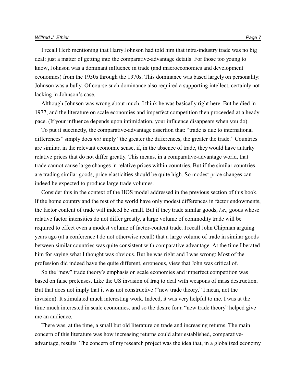I recall Herb mentioning that Harry Johnson had told him that intra-industry trade was no big deal: just a matter of getting into the comparative-advantage details. For those too young to know, Johnson was a dominant influence in trade (and macroeconomics and development economics) from the 1950s through the 1970s. This dominance was based largely on personality: Johnson was a bully. Of course such dominance also required a supporting intellect, certainly not lacking in Johnson's case.

Although Johnson was wrong about much, I think he was basically right here. But he died in 1977, and the literature on scale economies and imperfect competition then proceeded at a heady pace. (If your influence depends upon intimidation, your influence disappears when you do).

To put it succinctly, the comparative-advantage assertion that: "trade is due to international differences" simply does *not* imply "the greater the differences, the greater the trade." Countries are similar, in the relevant economic sense, if, in the absence of trade, they would have autarky relative prices that do not differ greatly. This means, in a comparative-advantage world, that trade cannot cause large changes in relative prices within countries. But if the similar countries are trading similar goods, price elasticities should be quite high. So modest price changes can indeed be expected to produce large trade volumes.

Consider this in the context of the HOS model addressed in the previous section of this book. If the home country and the rest of the world have only modest differences in factor endowments, the factor content of trade will indeed be small. But if they trade similar goods, *i.e*., goods whose relative factor intensities do not differ greatly, a large volume of commodity trade will be required to effect even a modest volume of factor-content trade. I recall John Chipman arguing years ago (at a conference I do not otherwise recall) that a large volume of trade in similar goods between similar countries was quite consistent with comparative advantage. At the time I berated him for saying what I thought was obvious. But he was right and I was wrong: Most of the profession did indeed have the quite different, erroneous, view that John was critical of.

So the "new" trade theory's emphasis on scale economies and imperfect competition was based on false pretenses. Like the US invasion of Iraq to deal with weapons of mass destruction. But that does not imply that it was not constructive ("new trade theory," I mean, not the invasion). It stimulated much interesting work. Indeed, it was very helpful to me. I was at the time much interested in scale economies, and so the desire for a "new trade theory" helped give me an audience.

There was, at the time, a small but old literature on trade and increasing returns. The main concern of this literature was how increasing returns could alter established, comparativeadvantage, results. The concern of my research project was the idea that, in a globalized economy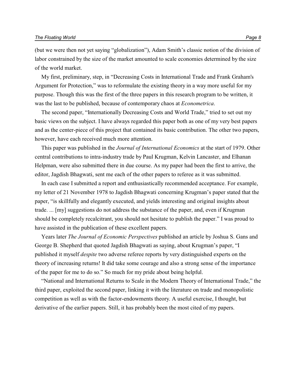(but we were then not yet saying "globalization"), Adam Smith's classic notion of the division of labor constrained by the size of the market amounted to scale economies determined by the size of the world market.

My first, preliminary, step, in "Decreasing Costs in International Trade and Frank Graham's Argument for Protection," was to reformulate the existing theory in a way more useful for my purpose. Though this was the first of the three papers in this research program to be written, it was the last to be published, because of contemporary chaos at *Econometrica*.

The second paper, "Internationally Decreasing Costs and World Trade," tried to set out my basic views on the subject. I have always regarded this paper both as one of my very best papers and as the center-piece of this project that contained its basic contribution. The other two papers, however, have each received much more attention.

This paper was published in the *Journal of International Economics* at the start of 1979. Other central contributions to intra-industry trade by Paul Krugman, Kelvin Lancaster, and Elhanan Helpman, were also submitted there in due course. As my paper had been the first to arrive, the editor, Jagdish Bhagwati, sent me each of the other papers to referee as it was submitted.

In each case I submitted a report and enthusiastically recommended acceptance. For example, my letter of 21 November 1978 to Jagdish Bhagwati concerning Krugman's paper stated that the paper, "is skillfully and elegantly executed, and yields interesting and original insights about trade. ... [my] suggestions do not address the substance of the paper, and, even if Krugman should be completely recalcitrant, you should not hesitate to publish the paper." I was proud to have assisted in the publication of these excellent papers.

Years later *The Journal of Economic Perspectives* published an article by Joshua S. Gans and George B. Shepherd that quoted Jagdish Bhagwati as saying, about Krugman's paper, "I published it myself *despite* two adverse referee reports by very distinguished experts on the theory of increasing returns! It did take some courage and also a strong sense of the importance of the paper for me to do so." So much for my pride about being helpful.

"National and International Returns to Scale in the Modern Theory of International Trade," the third paper, exploited the second paper, linking it with the literature on trade and monopolistic competition as well as with the factor-endowments theory. A useful exercise, I thought, but derivative of the earlier papers. Still, it has probably been the most cited of my papers.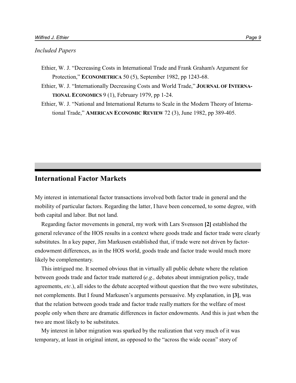*Included Papers*

- Ethier, W. J. "Decreasing Costs in International Trade and Frank Graham's Argument for Protection," **ECONOMETRICA** 50 (5), September 1982, pp 1243-68.
- Ethier, W. J. "Internationally Decreasing Costs and World Trade," **JOURNAL OF INTERNA-TIONAL ECONOMICS** 9 (1), February 1979, pp 1-24.
- Ethier, W. J. "National and International Returns to Scale in the Modern Theory of International Trade," **AMERICAN ECONOMIC REVIEW** 72 (3), June 1982, pp 389-405.

## **International Factor Markets**

My interest in international factor transactions involved both factor trade in general and the mobility of particular factors. Regarding the latter, I have been concerned, to some degree, with both capital and labor. But not land.

Regarding factor movements in general, my work with Lars Svensson **[2]** established the general relevance of the HOS results in a context where goods trade and factor trade were clearly substitutes. In a key paper, Jim Markusen established that, if trade were not driven by factorendowment differences, as in the HOS world, goods trade and factor trade would much more likely be complementary.

This intrigued me. It seemed obvious that in virtually all public debate where the relation between goods trade and factor trade mattered (*e.g.,* debates about immigration policy, trade agreements, *etc*.), all sides to the debate accepted without question that the two were substitutes, not complements. But I found Markusen's arguments persuasive. My explanation, in **[3]**, was that the relation between goods trade and factor trade really matters for the welfare of most people only when there are dramatic differences in factor endowments. And this is just when the two are most likely to be substitutes.

My interest in labor migration was sparked by the realization that very much of it was temporary, at least in original intent, as opposed to the "across the wide ocean" story of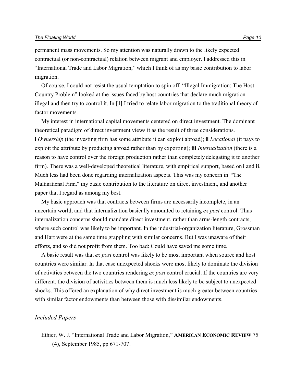permanent mass movements. So my attention was naturally drawn to the likely expected contractual (or non-contractual) relation between migrant and employer. I addressed this in "International Trade and Labor Migration," which I think of as my basic contribution to labor migration.

Of course, I could not resist the usual temptation to spin off. "Illegal Immigration: The Host Country Problem" looked at the issues faced by host countries that declare much migration illegal and then try to control it. In **[1]** I tried to relate labor migration to the traditional theory of factor movements.

My interest in international capital movements centered on direct investment. The dominant theoretical paradigm of direct investment views it as the result of three considerations. **i** *Ownership* (the investing firm has some attribute it can exploit abroad); **ii** *Locational* (it pays to exploit the attribute by producing abroad rather than by exporting); **iii** *Internalization* (there is a reason to have control over the foreign production rather than completely delegating it to another firm). There was a well-developed theoretical literature, with empirical support, based on **i** and **ii**. Much less had been done regarding internalization aspects. This was my concern in "The Multinational Firm," my basic contribution to the literature on direct investment, and another paper that I regard as among my best.

My basic approach was that contracts between firms are necessarily incomplete, in an uncertain world, and that internalization basically amounted to retaining *ex post* control. Thus internalization concerns should mandate direct investment, rather than arms-length contracts, where such control was likely to be important. In the industrial-organization literature, Grossman and Hart were at the same time grappling with similar concerns. But I was unaware of their efforts, and so did not profit from them. Too bad: Could have saved me some time.

A basic result was that *ex post* control was likely to be most important when source and host countries were similar. In that case unexpected shocks were most likely to dominate the division of activities between the two countries rendering *ex post* control crucial. If the countries are very different, the division of activities between them is much less likely to be subject to unexpected shocks. This offered an explanation of why direct investment is much greater between countries with similar factor endowments than between those with dissimilar endowments.

#### *Included Papers*

Ethier, W. J. "International Trade and Labor Migration," **AMERICAN ECONOMIC REVIEW** 75 (4), September 1985, pp 671-707.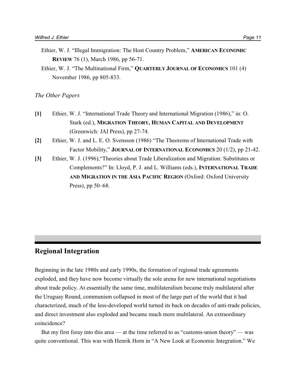- Ethier, W. J. "Illegal Immigration: The Host Country Problem," **AMERICAN ECONOMIC REVIEW** 76 (1), March 1986, pp 56-71.
- Ethier, W. J. "The Multinational Firm," **QUARTERLY JOURNAL OF ECONOMICS** 101 (4) November 1986, pp 805-833.

#### *The Other Papers*

- **[1]** Ethier, W. J. "International Trade Theory and International Migration (1986)," in: O. Stark (ed.), **MIGRATION THEORY, HUMAN CAPITAL AND DEVELOPMENT** (Greenwich: JAI Press), pp 27-74.
- **[2]** Ethier, W. J. and L. E. O. Svensson (1986) "The Theorems of International Trade with Factor Mobility," **JOURNAL OF INTERNATIONAL ECONOMICS** 20 (1/2), pp 21-42.
- **[3]** Ethier, W. J. (1996),"Theories about Trade Liberalization and Migration: Substitutes or Complements?" In: Lloyd, P. J. and L. Williams (eds.), **INTERNATIONAL TRADE AND MIGRATION IN THE ASIA PACIFIC REGION** (Oxford: Oxford University Press), pp 50–68.

## **Regional Integration**

Beginning in the late 1980s and early 1990s, the formation of regional trade agreements exploded, and they have now become virtually the sole arena for new international negotiations about trade policy. At essentially the same time, multilateralism became truly multilateral after the Uruguay Round, communism collapsed in most of the large part of the world that it had characterized, much of the less-developed world turned its back on decades of anti-trade policies, and direct investment also exploded and became much more multilateral. An extraordinary coincidence?

But my first foray into this area — at the time referred to as "customs-union theory" — was quite conventional. This was with Henrik Horn in "A New Look at Economic Integration." We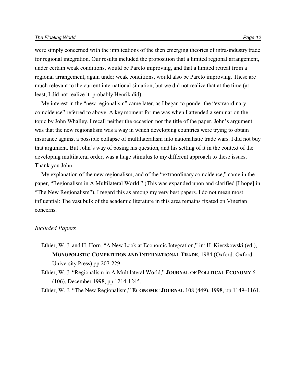were simply concerned with the implications of the then emerging theories of intra-industry trade for regional integration. Our results included the proposition that a limited regional arrangement, under certain weak conditions, would be Pareto improving, and that a limited retreat from a regional arrangement, again under weak conditions, would also be Pareto improving. These are much relevant to the current international situation, but we did not realize that at the time (at least, I did not realize it: probably Henrik did).

My interest in the "new regionalism" came later, as I began to ponder the "extraordinary coincidence" referred to above. A key moment for me was when I attended a seminar on the topic by John Whalley. I recall neither the occasion nor the title of the paper. John's argument was that the new regionalism was a way in which developing countries were trying to obtain insurance against a possible collapse of multilateralism into nationalistic trade wars. I did not buy that argument. But John's way of posing his question, and his setting of it in the context of the developing multilateral order, was a huge stimulus to my different approach to these issues. Thank you John.

My explanation of the new regionalism, and of the "extraordinary coincidence," came in the paper, "Regionalism in A Multilateral World." (This was expanded upon and clarified [I hope] in "The New Regionalism"). I regard this as among my very best papers. I do not mean most influential: The vast bulk of the academic literature in this area remains fixated on Vinerian concerns.

#### *Included Papers*

- Ethier, W. J. and H. Horn. "A New Look at Economic Integration," in: H. Kierzkowski (ed.), **MONOPOLISTIC COMPETITION AND INTERNATIONAL TRADE**, 1984 (Oxford: Oxford University Press) pp 207-229.
- Ethier, W. J. "Regionalism in A Multilateral World," **JOURNAL OF POLITICAL ECONOMY** 6 (106), December 1998, pp 1214-1245.

Ethier, W. J. "The New Regionalism," **ECONOMIC JOURNAL** 108 (449), 1998, pp 1149–1161.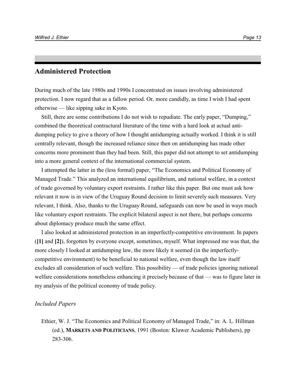## **Administered Protection**

During much of the late 1980s and 1990s I concentrated on issues involving administered protection. I now regard that as a fallow period. Or, more candidly, as time I wish I had spent otherwise — like sipping sake in Kyoto.

Still, there are some contributions I do not wish to repudiate. The early paper, "Dumping," combined the theoretical contractural literature of the time with a hard look at actual antidumping policy to give a theory of how I thought antidumping actually worked. I think it is still centrally relevant, though the increased reliance since then on antidumping has made other concerns more prominent than they had been. Still, this paper did not attempt to set antidumping into a more general context of the international commercial system.

I attempted the latter in the (less formal) paper, "The Economics and Political Economy of Managed Trade." This analyzed an international equilibrium, and national welfare, in a context of trade governed by voluntary export restraints. I rather like this paper. But one must ask how relevant it now is in view of the Uruguay Round decision to limit severely such measures. Very relevant, I think. Also, thanks to the Uruguay Round, safeguards can now be used in ways much like voluntary export restraints. The explicit bilateral aspect is not there, but perhaps concerns about diplomacy produce much the same effect.

I also looked at administered protection in an imperfectly-competitive environment. In papers (**[1]** and **[2]**), forgotten by everyone except, sometimes, myself. What impressed me was that, the more closely I looked at antidumping law, the more likely it seemed (in the imperfectlycompetitive environment) to be beneficial to national welfare, even though the law itself excludes all consideration of such welfare. This possibility — of trade policies ignoring national welfare considerations nonetheless enhancing it precisely because of that — was to figure later in my analysis of the political economy of trade policy.

### *Included Papers*

Ethier, W. J. "The Economics and Political Economy of Managed Trade," in: A. L. Hillman (ed.), **MARKETS AND POLITICIANS**, 1991 (Boston: Kluwer Academic Publishers), pp 283-306.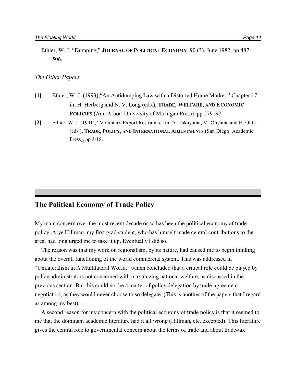Ethier, W. J. "Dumping," **JOURNAL OF POLITICAL ECONOMY**, 90 (3), June 1982, pp 487- 506.

## *The Other Papers*

- **[1]** Ethier, W. J. (1993),"An Antidumping Law with a Distorted Home Market," Chapter 17 in: H. Herberg and N. V. Long (eds.), **TRADE, WELFARE, AND ECONOMIC POLICIES** (Ann Arbor: University of Michigan Press), pp 279–97.
- **[2]** Ethier, W. J. (1991), "Voluntary Export Restraints," in: A. Takayama, M. Ohyama and H. Ohta (eds.), **TRADE**, **POLICY**, **AND INTERNATIONAL ADJUSTMENTS** (San Diego: Academic Press), pp 3-18.

## **The Political Economy of Trade Policy**

My main concern over the most recent decade or so has been the political economy of trade policy. Arye Hillman, my first grad student, who has himself made central contributions to the area, had long urged me to take it up. Eventually I did so.

The reason was that my work on regionalism, by its nature, had caused me to begin thinking about the overall functioning of the world commercial system. This was addressed in "Unilateralism in A Multilateral World," which concluded that a critical role could be played by policy administrators not concerned with maximizing national welfare, as discussed in the previous section. But this could not be a matter of policy delegation by trade-agreement negotiators, as they would never choose to so delegate. (This is another of the papers that I regard as among my best).

A second reason for my concern with the political economy of trade policy is that it seemed to me that the dominant academic literature had it all wrong (Hillman, etc. excepted). This literature gives the central role to governmental concern about the terms of trade and about trade-tax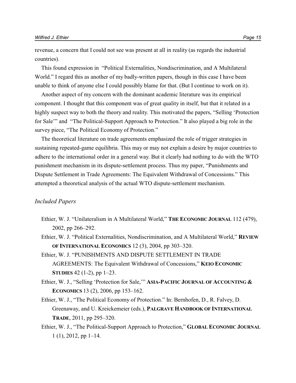This found expression in "Political Externalities, Nondiscrimination, and A Multilateral World." I regard this as another of my badly-written papers, though in this case I have been unable to think of anyone else I could possibly blame for that. (But I continue to work on it).

Another aspect of my concern with the dominant academic literature was its empirical component. I thought that this component was of great quality in itself, but that it related in a highly suspect way to both the theory and reality. This motivated the papers, "Selling 'Protection for Sale'" and "The Political-Support Approach to Protection." It also played a big role in the survey piece, "The Political Economy of Protection."

The theoretical literature on trade agreements emphasized the role of trigger strategies in sustaining repeated-game equilibria. This may or may not explain a desire by major countries to adhere to the international order in a general way. But it clearly had nothing to do with the WTO punishment mechanism in its dispute-settlement process. Thus my paper, "Punishments and Dispute Settlement in Trade Agreements: The Equivalent Withdrawal of Concessions." This attempted a theoretical analysis of the actual WTO dispute-settlement mechanism.

## *Included Papers*

- Ethier, W. J. "Unilateralism in A Multilateral World," **THE ECONOMIC JOURNAL** 112 (479), 2002, pp 266–292.
- Ethier, W. J. "Political Externalities, Nondiscrimination, and A Multilateral World," **REVIEW OF INTERNATIONAL ECONOMICS** 12 (3), 2004, pp 303–320.
- Ethier, W. J. "PUNISHMENTS AND DISPUTE SETTLEMENT IN TRADE AGREEMENTS: The Equivalent Withdrawal of Concessions," **KEIO ECONOMIC STUDIES** 42 (1-2), pp 1–23.
- Ethier, W. J., "Selling 'Protection for Sale,'" **ASIA-PACIFIC JOURNAL OF ACCOUNTING & ECONOMICS** 13 (2), 2006, pp 153–162.
- Ethier, W. J., "The Political Economy of Protection." In: Bernhofen, D., R. Falvey, D. Greenaway, and U. Kreickemeier (eds.), **PALGRAVE HANDBOOK OF INTERNATIONAL TRADE**, 2011, pp 295–320.
- Ethier, W. J., "The Political-Support Approach to Protection," **GLOBAL ECONOMIC JOURNAL**  $1(1)$ , 2012, pp 1–14.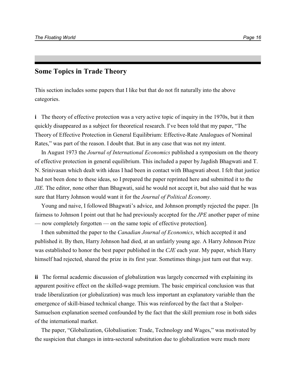## **Some Topics in Trade Theory**

This section includes some papers that I like but that do not fit naturally into the above categories.

**i** The theory of effective protection was a very active topic of inquiry in the 1970s, but it then quickly disappeared as a subject for theoretical research. I've been told that my paper, "The Theory of Effective Protection in General Equilibrium: Effective-Rate Analogues of Nominal Rates," was part of the reason. I doubt that. But in any case that was not my intent.

In August 1973 the *Journal of International Economics* published a symposium on the theory of effective protection in general equilibrium. This included a paper by Jagdish Bhagwati and T. N. Srinivasan which dealt with ideas I had been in contact with Bhagwati about. I felt that justice had not been done to these ideas, so I prepared the paper reprinted here and submitted it to the *JIE*. The editor, none other than Bhagwati, said he would not accept it, but also said that he was sure that Harry Johnson would want it for the *Journal of Political Economy*.

Young and naive, I followed Bhagwati's advice, and Johnson promptly rejected the paper. [In fairness to Johnson I point out that he had previously accepted for the *JPE* another paper of mine — now completely forgotten — on the same topic of effective protection].

I then submitted the paper to the *Canadian Journal of Economics*, which accepted it and published it. By then, Harry Johnson had died, at an unfairly young age. A Harry Johnson Prize was established to honor the best paper published in the *CJE* each year. My paper, which Harry himself had rejected, shared the prize in its first year. Sometimes things just turn out that way.

**ii** The formal academic discussion of globalization was largely concerned with explaining its apparent positive effect on the skilled-wage premium. The basic empirical conclusion was that trade liberalization (or globalization) was much less important an explanatory variable than the emergence of skill-biased technical change. This was reinforced by the fact that a Stolper-Samuelson explanation seemed confounded by the fact that the skill premium rose in both sides of the international market.

The paper, "Globalization, Globalisation: Trade, Technology and Wages," was motivated by the suspicion that changes in intra-sectoral substitution due to globalization were much more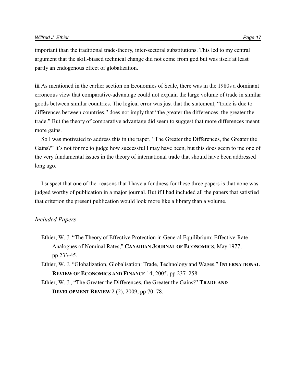important than the traditional trade-theory, inter-sectoral substitutions. This led to my central argument that the skill-biased technical change did not come from god but was itself at least partly an endogenous effect of globalization.

**iii** As mentioned in the earlier section on Economies of Scale, there was in the 1980s a dominant erroneous view that comparative-advantage could not explain the large volume of trade in similar goods between similar countries. The logical error was just that the statement, "trade is due to differences between countries," does not imply that "the greater the differences, the greater the trade." But the theory of comparative advantage did seem to suggest that more differences meant more gains.

So I was motivated to address this in the paper, "The Greater the Differences, the Greater the Gains?" It's not for me to judge how successful I may have been, but this does seem to me one of the very fundamental issues in the theory of international trade that should have been addressed long ago.

I suspect that one of the reasons that I have a fondness for these three papers is that none was judged worthy of publication in a major journal. But if I had included all the papers that satisfied that criterion the present publication would look more like a library than a volume.

#### *Included Papers*

- Ethier, W. J. "The Theory of Effective Protection in General Equilibrium: Effective-Rate Analogues of Nominal Rates," **CANADIAN JOURNAL OF ECONOMICS**, May 1977, pp 233-45.
- Ethier, W. J. "Globalization, Globalisation: Trade, Technology and Wages," **INTERNATIONAL REVIEW OF ECONOMICS AND FINANCE** 14, 2005, pp 237–258.
- Ethier, W. J., "The Greater the Differences, the Greater the Gains?" **TRADE AND DEVELOPMENT REVIEW** 2 (2), 2009, pp 70–78.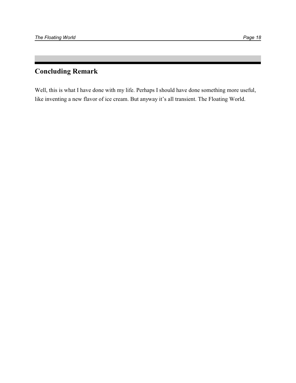## **Concluding Remark**

Well, this is what I have done with my life. Perhaps I should have done something more useful, like inventing a new flavor of ice cream. But anyway it's all transient. The Floating World.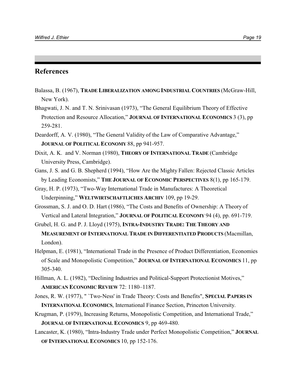## **References**

- Balassa, B. (1967), **TRADE LIBERALIZATION AMONG INDUSTRIAL COUNTRIES** (McGraw-Hill, New York).
- Bhagwati, J. N. and T. N. Srinivasan (1973), "The General Equilibrium Theory of Effective Protection and Resource Allocation," **JOURNAL OF INTERNATIONAL ECONOMICS** 3 (3), pp 259-281.
- Deardorff, A. V. (1980), "The General Validity of the Law of Comparative Advantage," **JOURNAL OF POLITICAL ECONOMY** 88, pp 941-957.
- Dixit, A. K. and V. Norman (1980), **THEORY OF INTERNATIONAL TRADE** (Cambridge University Press, Cambridge).
- Gans, J. S. and G. B. Shepherd (1994), "How Are the Mighty Fallen: Rejected Classic Articles by Leading Economists," **THE JOURNAL OF ECONOMIC PERSPECTIVES** 8(1), pp 165-179.
- Gray, H. P. (1973), "Two-Way International Trade in Manufactures: A Theoretical Underpinning," **WELTWIRTSCHAFTLICHES ARCHIV** 109, pp 19-29.
- Grossman, S. J. and O. D. Hart (1986), "The Costs and Benefits of Ownership: A Theory of Vertical and Lateral Integration," **JOURNAL OF POLITICAL ECONOMY** 94 (4), pp. 691-719.
- Grubel, H. G. and P. J. Lloyd (1975), **INTRA-INDUSTRY TRADE: THE THEORY AND**
- **MEASUREMENT OF INTERNATIONAL TRADE IN DIFFERENTIATED PRODUCTS** (Macmillan, London).
- Helpman, E. (1981), "International Trade in the Presence of Product Differentiation, Economies of Scale and Monopolistic Competition," **JOURNAL OF INTERNATIONAL ECONOMICS** 11, pp 305-340.
- Hillman, A. L. (1982), "Declining Industries and Political-Support Protectionist Motives," **AMERICAN ECONOMIC REVIEW** 72: 1180–1187.
- Jones, R. W. (1977), " `Two-Ness' in Trade Theory: Costs and Benefits", **SPECIAL PAPERS IN INTERNATIONAL ECONOMICS**, International Finance Section, Princeton University.
- Krugman, P. (1979), Increasing Returns, Monopolistic Competition, and International Trade," **JOURNAL OF INTERNATIONAL ECONOMICS** 9, pp 469-480.
- Lancaster, K. (1980), "Intra-Industry Trade under Perfect Monopolistic Competition," **JOURNAL OF INTERNATIONAL ECONOMICS** 10, pp 152-176.